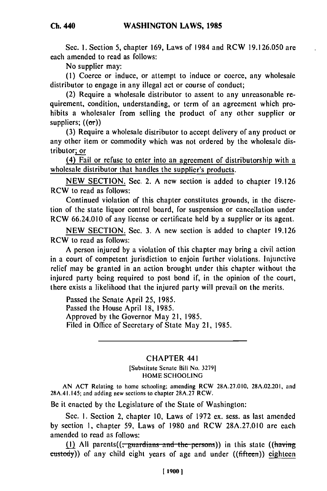**Ch. 440**

Sec. **i.** Section 5, chapter 169, Laws of 1984 and RCW 19.126.050 are each amended to read as follows:

No supplier may:

**(1)** Coerce or induce, or attempt to induce or coerce, any wholesale distributor to engage in any illegal act or course of conduct;

(2) Require a wholesale distributor to assent to any unreasonable requirement, condition, understanding, or term of an agreement which prohibits a wholesaler from selling the product of any other supplier or suppliers;  $((\sigma r))$ 

(3) Require a wholesale distributor to accept delivery of any product or any other item or commodity which was not ordered by the wholesale distributor; or

(4) Fail or refuse to enter into an agreement of distributorship with a wholesale distributor that handles the supplier's products.

NEW SECTION. Sec. 2. A new section is added to chapter 19.126 RCW to read as follows:

Continued violation of this chapter constitutes grounds, in the discretion of the state liquor control board, for suspension or cancellation under RCW 66.24.010 of any license or certificate held by a supplier or its agent.

NEW SECTION. Sec. 3. A new section is added to chapter 19.126 RCW to read as follows:

A person injured by a violation of this chapter may bring a civil action in a court of competent jurisdiction to enjoin further violations. Injunctive relief may be granted in an action brought under this chapter without the injured party being required to post bond if, in the opinion of the court, there exists a likelihood that the injured party will prevail on the merits.

Passed the Senate April 25, 1985. Passed the House April 18, 1985. Approved by the Governor May 21, 1985. Filed in Office of Secretary of State May 21, 1985.

## CHAPTER 441

[Substitute Senate Bill No. 32791 HOME SCHOOLING

AN ACT Relating to home schooling; amending RCW 28A.27.010, 28A.02.201, and 28A.41.145; and adding new sections to chapter 28A.27 RCW.

Be it enacted by the Legislature of the State of Washington:

Sec. I. Section 2, chapter 10, Laws of 1972 ex. sess. as last amended by section 1, chapter 59, Laws of 1980 and RCW 28A.27.010 are each amended to read as follows:

(1) All parents( $\left($ ,  $\frac{1}{2}$  partial  $\frac{1}{2}$  and the persons)) in this state ( $\left($ having custody)) of any child eight years of age and under ((fifteen)) eighteen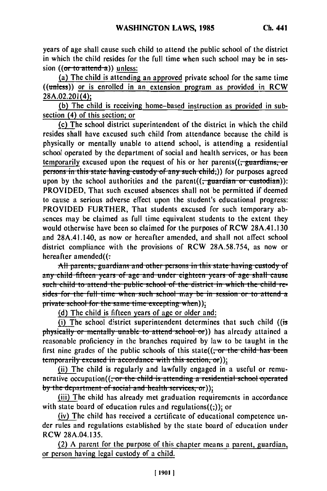years of age shall cause such child to attend the public school of the district in which the child resides for the full time when such school may be in session ((or to attend a)) unless:

(a) The child is attending an approved private school for the same time ((unless)) or is enrolled in an extension program as provided in RCW 28A.02.201(4);

(b) The child is receiving home-based instruction as provided in subsection (4) of this section; or

(c) The school district superintendent of the district in which the child resides shall have excused suvh child from attendance because the child is physically or mentally unable to attend school, is attending a residential school operated by the department of social and health services, or has been temporarily excused upon the request of his or her parents $((,$  guardians, or persons in this state having custody of any such child;)) for purposes agreed upon by the school authorities and the parent( $\left(\frac{1}{x}$  guardian or custodian)): PROVIDED, That such excused absences shall not be permitted if deemed to cause a serious adverse effect upon the student's educational progress: PROVIDED FURTHER, That students excused for such temporary absences may be claimed as full time equivalent students to the extent they would otherwise have been so claimed for the purposes of RCW 28A.41.130 and 28A.41.140, as now or hereafter amended, and shall not affect school district compliance with the provisions of RCW 28A.58.754, as now or hereafter amended( $($ .

All parents, guardians and other persons in this state having custody of any child fifteen years of age and under eighteen years of age shall cause<br>such child to attend the public school of the district in which the child resides for the full time when such school may be in session or to attend a private school for the same time excepting when));

(d) The child is fifteen years of age or older and:

(i) The school district superintendent determines that such child ((is physically or mentally unable to attend school or)) has already attained a reasonable proficiency in the branches required **by** law to be taught in the first nine grades of the public schools of this state((, or the child has been

temporarily excused in accordance with this section, or))<sub>2</sub><br>(ii) The child is regularly and lawfully engaged in a useful or remunerative occupation((<del>, or the child is attending a residential school operated</del> by the department of social and health services, or));

(iii) The child has already met graduation requirements in accordance with state board of education rules and regulations $((,))$ ; or

(iv) The child has received a certificate of educational competence under rules and regulations established by the state board of education under RCW 28A.04.135.

(2) A parent for the purpose of this chapter means a parent, guardian, or person having legal custody of a child.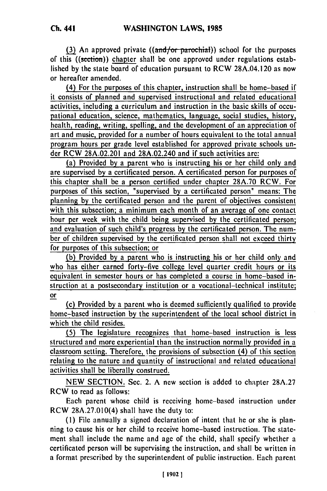**(3)** An approved private ((and/or parochial)) school for the purposes of this ((sction)) chapter shall be one approved under regulations established **by** the state board of education pursuant to RCW 28A.04.120 as now or hereafter amended.

(4) For the purposes of this chapter, instruction shall be home-based if it consists of planned and supervised instructional and related educational activities, including a curriculum and instruction in the basic skills of occupational education, science, mathematics, language, social studies, history, health, reading, writing, spelling, and the development of an appreciation of art and music, provided for a number of hours cquivalent to the total annual program hours per grade level established for approved private schools under RCW 28A.02.201 and 28A.02.240 and if such activities are:

(a) Provided **by** a parent who is instructing his or her child only and are supervised **by** a certificated person. A certificated person for purposes **of** this chapter shall **be** a person certified under chapter 28A.70 RCW. For purposes of this section, "supervised **by** a certificated person" means: The planning **by** the certificated person and the parent of objectives consistent with this subsection; a minimum each month of an average of one contact hour per week with the child being supervised **by** the certificated person; and evaluation of such child's progress **by** the certificated person. The number of children supervised **by** the certificated person shall not exceed thirty for purposes of this subsection; or

**(b)** Provided **by** a parent who is instructing his or her child only and who has either earned forty-five college level quarter credit hours or its equivalent in semester hours or has completed a course in home-based instruction at a postsecondary institution or a vocational-technical institute; or

(c) Provided **by** a parent who is deemed sufficiently qualified to provide home-based instruction **by** the superintendent of the local school district in which the child resides.

**(5)** The legislature recognizes that home-based instruction is less structured and more experiential than the instruction normally provided in a classroom setting. Therefore, the provisions of subsection (4) of this section relating to the nature and quantity of instructional and related educational activities shall be liberally construed.

NEW SECTION. Sec. 2. A new section is added to chapter 28A.27 RCW to read as follows:

Each parent whose child is receiving home-based instruction under RCW 28A.27.010(4) shall have the duty to:

(1) File annually a signed declaration of intent that he or she is planning to cause his or her child to receive home-based instruction. The statement shall include the name and age of the child, shall specify whether a certificated person will be supervising the instruction, and shall be written in a format prescribed by the superintendent of public instruction. Each parent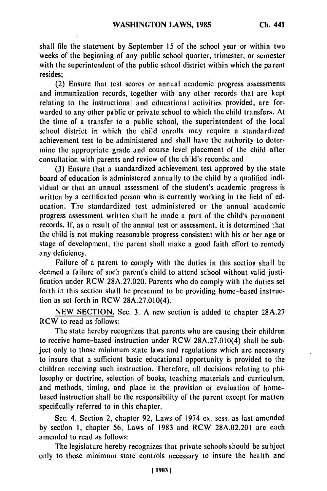shall file the statement **by** September **15** of the school year or within two weeks of the beginning of any public school quarter, trimester, or semester with the superintendent of the public school district within which the parent resides;

(2) Ensure that test scores or annual academic progress assessments and immunization records, together with any other records that are kept relating to the instructional and educational activities provided, are forwarded to any other public or private school to which the child transfers. At the time of a transfer to a public school, the superintendent of the local school district in which the child enrolls may require a standardized achievement test to be administered and shall have the authority to determine the appropriate grade and course level placement of the child after consultation with parents and review of the child's records; and

(3) Ensure that a standardized achievement test approved by the state board of education is administered annually to the child by a qualified individual or that an annual assessment of the student's academic progress is written by a certificated person who is currently working in the field of education. The standardized test administered or the annual academic progress assessment written shall be made a part of the child's permanent records. If, as a result of the annual test or assessment, it is determined that the child is not making reasonable progress consistent with his or her age or stage of development, the parent shall make a good faith effort to remedy any deficiency.

Failure of a parent to comply with the duties in this section shall be deemed a failure of such parent's child to attend school without valid justification under RCW 28A.27.020. Parents who do comply with the duties set forth in this section shall be presumed to be providing home-based instruction as set forth in RCW 28A.27.010(4).

NEW SECTION. Sec. 3. A new section is added to chapter 28A.27 RCW to read as follows:

The state hereby recognizes that parents who are causing their children to receive home-based instruction under RCW 28A.27.010(4) shall be subject only to those minimum state laws and regulations which are necessary to insure that a sufficient basic educational opportunity is provided to the children receiving such instruction. Therefore, all decisions relating to philosophy or doctrine, selection of books, teaching materials and curriculum, and methods, timing, and place in the provision or evaluation of homebased instruction shall be the responsibility of the parent except for matters specifically referred to in this chapter.

Sec. 4. Section 2, chapter 92, Laws of 1974 ex. sess. as last amended by section **1,** chapter 56, Laws of 1983 and RCW 28A.02.201 are each amended to read as follows:

The legislature hereby recognizes that private schools should be subject only to those minimum state controls necessary to insure the health and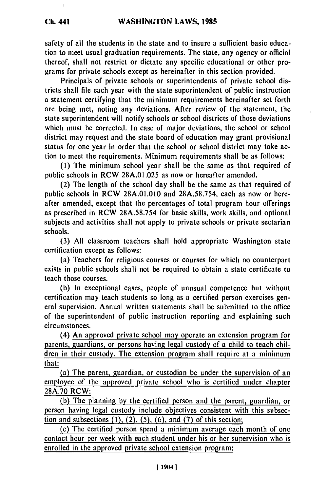$\mathfrak{r}$ 

safety of all the students in the state and to insure a sufficient basic education to meet usual graduation requirements. The state, any agency or official thereof, shall not restrict or dictate any specific educational or other programs for private schools except as hereinafter in this section provided.

Principals of private schools or superintendents of private school districts shall file each year with the state superintendent of public instruction a statement certifying that the minimum requirements hereinafter set forth are being met, noting any deviations. After review of the statement, the state superintendent will notify schools or school districts of those deviations which must be corrected. In case of major deviations, the school or school district may request and the state board of education may grant provisional status for one year in order that the school or school district may take action to meet the requirements. Minimum requirements shall **be** as follows:

k.

**(1)** The minimum school year shall be the same as that required of public schools in RCW 28A.01.025 as now or hereafter amended.

(2) The length of the school day shall be the same as that required of public schools in RCW **28A.01.010** and 28A.58.754, each as now or hereafter amended, except that the percentages of total program hour offerings as prescribed in RCW 28A.58.754 for basic skills, work skills, and optional subjects and activities shall not apply to private schools or private sectarian schools.

**(3) All** classroom teachers shall hold appropriate Washington state certification except as follows:

(a) Teachers for religious courses or courses for which no counterpart exists in public schools shall not be required to obtain a state certificate to teach those courses.

**(b)** In exceptional cases, people of unusual competence but without certification may teach students so long as a certified person exercises general supervision. Annual written statements shall be submitted to the office of the superintendent of public instruction reporting and explaining such circumstances.

(4) An approved private school may operate an extension program **for** parents, guardians, or persons having legal custody of a child to teach children in their custody. The extension program shall require at a minimum that:

(a) The parent, guardian, or custodian be under the supervision of an employee of the approved private school who is certified under chapter 28A.70 RCW;

(b) The planning by the certified person and the parent, guardian, or person having legal custody include objectives consistent with this subsection and subsections  $(1)$ ,  $(2)$ ,  $(5)$ ,  $(6)$ , and  $(7)$  of this section;

(c) The certified person spend a minimum average each month of one contact hour per week with each student under his or her supervision who is enrolled in the approved private school extension program;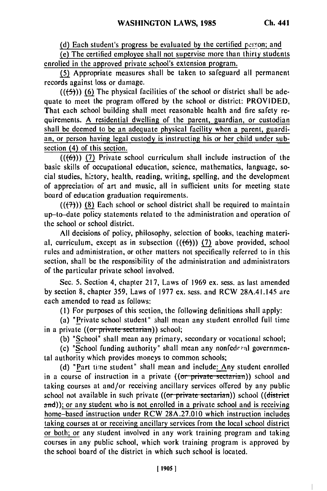(d) Each student's progress be evaluated by the certified person; and

(e) The certified employee shall not supervise more than thirty students enrolled in the approved private school's extension program.

**(5)** Appropriate measures shall be taken to safeguard all permanent records against loss or damage.

**(((5))) (6)** The physical facilities of the school or district shall be adequate to meet the program offered by the school or district: PROVIDED, That each school building shall meet reasonable health and fire safety requirements. A residential dwelling of the parent, guardian, or custodian shall be deemed to be an adequate physical facility when a parent, guardian, or person having legal custody is instructing his or her child under subsection (4) of this section.

 $((\langle 6 \rangle)$ ) (7) Private school curriculum shall include instruction of the basic skills of occupational education, science, mathematics, language, social studies, h;2tory, health, reading, writing, spelling, and the development of appreciation of art and music, all in sufficient units for meeting state board of education graduation requirements.

 $((+7))$  (8) Each school or school district shall be required to maintain up-to-date policy statements related to the administration and operation of the school or school district.

All decisions of policy, philosophy, selection of books, teaching material, curriculum, except as in subsection  $((6))$   $(7)$  above provided, school rules and administration, or other matters not specifically referred to in this section, shall be the responsibility of the administration and administrators of the particular private school involved.

Sec. 5. Section 4, chapter 217, Laws of 1969 ex. sess. as last amended by section 8, chapter 359, Laws of 1977 ex. sess. and RCW 28A.41.145 are each amended to read as follows:

(I) For purposes of this section, the following definitions shall apply:

(a) "Private school student" shall mean any student enrolled full time in a private ((or private sectarian)) school;

(b) "School" shall mean any primary, secondary or vocational school;

(c) "School funding authority" shall mean any nonfederal governmental authority which provides moneys to common schools;

(d) "Part time student" shall mean and include: Any student enrolled in a course of instruction in a private ((or private sectarian)) school and taking courses at and/or receiving ancillary services offered by any public school not available in such private ((or private sectarian)) school ((district and)); or any student who is not enrolled in a private school and is receiving home-based instruction under RCW 28A.27.010 which instruction includes taking courses at or receiving ancillary services from the local school district or both; or any student involved in any work training program and taking courses in any public school, which work training program is approved by the school board of the district in which such school is located.